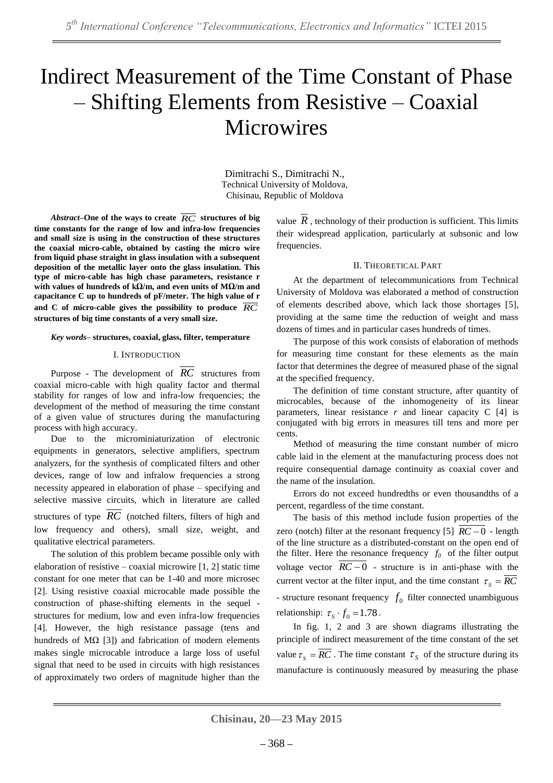# Indirect Measurement of the Time Constant of Phase – Shifting Elements from Resistive – Coaxial **Microwires**

Dimitrachi S., Dimitrachi N., Technical University of Moldova, Chisinau, Republic of Moldova

Abstract–One of the ways to create  $\overline{RC}$  structures of big **time constants for the range of low and infra-low frequencies and small size is using in the construction of these structures the coaxial micro-cable, obtained by casting the micro wire from liquid phase straight in glass insulation with a subsequent deposition of the metallic layer onto the glass insulation. This type of micro-cable has high chase parameters, resistance r with values of hundreds of kΩ/m, and even units of MΩ/m and capacitance C up to hundreds of pF/meter. The high value of r and C of micro-cable gives the possibility to produce**  *RC* **structures of big time constants of a very small size.**

### *Key words***– structures, coaxial, glass, filter, temperature**

## I. INTRODUCTION

Purpose - The development of *RC* structures from coaxial micro-cable with high quality factor and thermal stability for ranges of low and infra-low frequencies; the development of the method of measuring the time constant of a given value of structures during the manufacturing process with high accuracy.

Due to the microminiaturization of electronic equipments in generators, selective amplifiers, spectrum analyzers, for the synthesis of complicated filters and other devices, range of low and infralow frequencies a strong necessity appeared in elaboration of phase – specifying and selective massive circuits, which in literature are called structures of type *RC* (notched filters, filters of high and low frequency and others), small size, weight, and qualitative electrical parameters.

The solution of this problem became possible only with elaboration of resistive – coaxial microwire [1, 2] static time constant for one meter that can be 1-40 and more microsec [2]. Using resistive coaxial microcable made possible the construction of phase-shifting elements in the sequel structures for medium, low and even infra-low frequencies [4]. However, the high resistance passage (tens and hundreds of MΩ [3]) and fabrication of modern elements makes single microcable introduce a large loss of useful signal that need to be used in circuits with high resistances of approximately two orders of magnitude higher than the

value  $R$ , technology of their production is sufficient. This limits their widespread application, particularly at subsonic and low frequencies.

#### II. THEORETICAL PART

At the department of telecommunications from Technical University of Moldova was elaborated a method of construction of elements described above, which lack those shortages [5], providing at the same time the reduction of weight and mass dozens of times and in particular cases hundreds of times.

The purpose of this work consists of elaboration of methods for measuring time constant for these elements as the main factor that determines the degree of measured phase of the signal at the specified frequency.

The definition of time constant structure, after quantity of microcables, because of the inhomogeneity of its linear parameters, linear resistance *r* and linear capacity C [4] is conjugated with big errors in measures till tens and more per cents.

Method of measuring the time constant number of micro cable laid in the element at the manufacturing process does not require consequential damage continuity as coaxial cover and the name of the insulation.

Errors do not exceed hundredths or even thousandths of a percent, regardless of the time constant.

The basis of this method include fusion properties of the zero (notch) filter at the resonant frequency [5]  $RC - 0$  - length of the line structure as a distributed-constant on the open end of the filter. Here the resonance frequency  $f_0$  of the filter output voltage vector  $RC - 0$  - structure is in anti-phase with the current vector at the filter input, and the time constant  $\tau_s = RC$ - structure resonant frequency  $f_0$  filter connected unambiguous relationship:  $\tau_s \cdot f_0 = 1.78$ .

In fig. 1, 2 and 3 are shown diagrams illustrating the principle of indirect measurement of the time constant of the set value  $\tau_s = RC$ . The time constant  $\tau_s$  of the structure during its manufacture is continuously measured by measuring the phase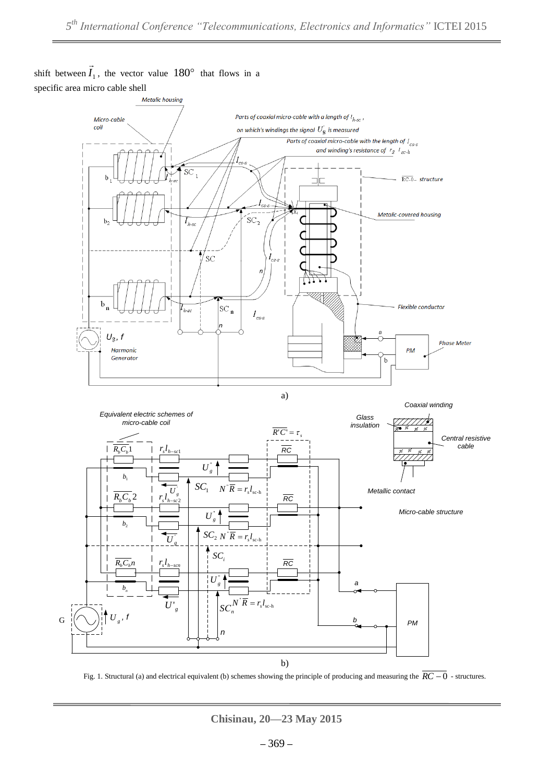shift between 1 *I*  $\rightarrow$ , the vector value  $180^{\circ}$  that flows in a specific area micro cable shell



Fig. 1. Structural (a) and electrical equivalent (b) schemes showing the principle of producing and measuring the  $RC - 0$  - structures.

**Chisinau, 20—23 May 2015**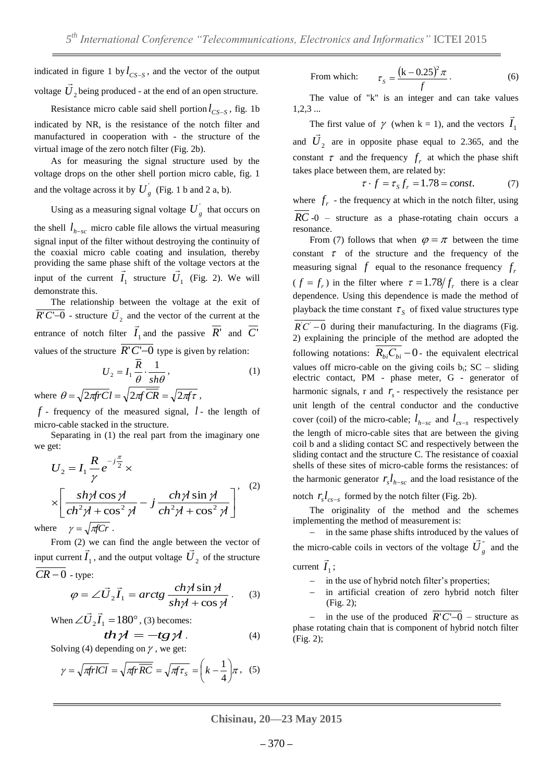indicated in figure 1 by  $l_{CS-S}$ , and the vector of the output voltage  $U_2$  $\rightarrow$ being produced - at the end of an open structure.

Resistance micro cable said shell portion  $l_{CS-S}$ , fig. 1b indicated by NR, is the resistance of the notch filter and manufactured in cooperation with - the structure of the virtual image of the zero notch filter (Fig. 2b).

As for measuring the signal structure used by the voltage drops on the other shell portion micro cable, fig. 1 and the voltage across it by  $U_g^{\dagger}$  (Fig. 1 b and 2 a, b).

Using as a measuring signal voltage  $U_g^{\dagger}$  that occurs on the shell  $l_{h-sc}$  micro cable file allows the virtual measuring signal input of the filter without destroying the continuity of the coaxial micro cable coating and insulation, thereby providing the same phase shift of the voltage vectors at the input of the current  $I_1$  structure  $U_1$  (Fig. 2). We will demonstrate this.

The relationship between the voltage at the exit of *R*'*C*'-0 - structure  $\overline{U}_2$  and the vector of the current at the entrance of notch filter  $I_1$  $\rightarrow$ and the passive *R*' and *C*' values of the structure  $R'C'-0$  type is given by relation:

$$
U_2 = I_1 \frac{R}{\theta} \cdot \frac{1}{sh\theta},
$$
\n
$$
U_2 = \sqrt{2 \cdot \overline{sm}} \qquad (1)
$$

where  $\theta = \sqrt{2\pi f}Cl = \sqrt{2\pi f}CR = \sqrt{2\pi f}\tau$ ,

*f* - frequency of the measured signal, *l* - the length of micro-cable stacked in the structure.

Separating in (1) the real part from the imaginary one we get:

$$
U_2 = I_1 \frac{R}{\gamma} e^{-j\frac{\pi}{2}} \times
$$
  
 
$$
\times \left[ \frac{sh\gamma l \cos \gamma l}{ch^2 \gamma l + \cos^2 \gamma l} - j \frac{ch\gamma l \sin \gamma l}{ch^2 \gamma l + \cos^2 \gamma l} \right]^{1/2}
$$
  
where  $\gamma = \sqrt{\pi} Cr$ .

From (2) we can find the angle between the vector of input current  $\overline{I}_1$ , and the output voltage  $\overline{U}_2$  of the structure

 $\overline{CR-0}$  - type:

$$
\varphi = \angle \vec{U}_2 \vec{I}_1 = \arctg \frac{ch\gamma l \sin \gamma l}{sh\gamma l + \cos \gamma l}.
$$
 (3)

When  $\angle U_2 \vec{I}_1 = 180^\circ$ , (3) becomes:

$$
t h \mathcal{U} = -t g \mathcal{U}.
$$
  
Solving (4) depending on  $\gamma$ , we get:

$$
\gamma = \sqrt{\pi \text{fr} C I} = \sqrt{\pi \text{fr} R C} = \sqrt{\pi \text{fr} \tau_s} = \left(k - \frac{1}{4}\right)\pi, \quad (5)
$$

From which: 
$$
\tau_s = \frac{(k - 0.25)^2 \pi}{f}.
$$
 (6)

The value of "k" is an integer and can take values  $1,2,3...$  $\rightarrow$ 

The first value of  $\gamma$  (when k = 1), and the vectors  $I_1$ and  $\dot{U}_2$  $\ddot{\phantom{a}}$ are in opposite phase equal to 2.365, and the constant  $\tau$  and the frequency  $f_r$  at which the phase shift takes place between them, are related by:

$$
\tau \cdot f = \tau_s f_r = 1.78 = const.
$$
 (7)

where  $f_r$  - the frequency at which in the notch filter, using *RC* -0 – structure as a phase-rotating chain occurs a resonance.

From (7) follows that when  $\varphi = \pi$  between the time constant  $\tau$  of the structure and the frequency of the measuring signal  $f$  equal to the resonance frequency  $f_i$  $(f = f_r)$  in the filter where  $\tau = 1.78/f_r$  there is a clear dependence. Using this dependence is made the method of playback the time constant  $\tau_s$  of fixed value structures type  $R'C' - 0$  during their manufacturing. In the diagrams (Fig. 2) explaining the principle of the method are adopted the following notations:  $R_{bi}C_{bi} - 0$  - the equivalent electrical values off micro-cable on the giving coils  $b_i$ ;  $SC - sliding$ electric contact, PM - phase meter, G - generator of harmonic signals, r and  $r<sub>s</sub>$  - respectively the resistance per unit length of the central conductor and the conductive cover (coil) of the micro-cable;  $l_{h-sc}$  and  $l_{cs-s}$  respectively the length of micro-cable sites that are between the giving coil b and a sliding contact SC and respectively between the sliding contact and the structure C. The resistance of coaxial shells of these sites of micro-cable forms the resistances: of the harmonic generator  $r_s l_{h-sc}$  and the load resistance of the

notch  $r_s l_{cs-s}$  formed by the notch filter (Fig. 2b).

The originality of the method and the schemes implementing the method of measurement is:

- in the same phase shifts introduced by the values of the micro-cable coils in vectors of the voltage  $\vec{U}_g^{\dagger}$  and the

current  $I_1$  $\rightarrow$ ;

- in the use of hybrid notch filter's properties;
- in artificial creation of zero hybrid notch filter (Fig. 2);

- in the use of the produced  $R'C'-0$  – structure as phase rotating chain that is component of hybrid notch filter (Fig. 2);

**Chisinau, 20—23 May 2015**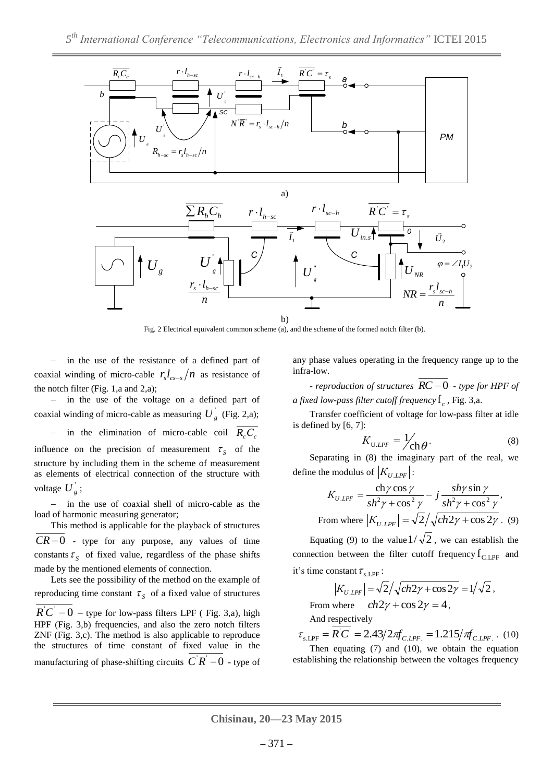

Fig. 2 Electrical equivalent common scheme (a), and the scheme of the formed notch filter (b).

- in the use of the resistance of a defined part of coaxial winding of micro-cable  $r_s l_{cs-s}/n$  as resistance of the notch filter (Fig. 1,a and 2,a);

- in the use of the voltage on a defined part of coaxial winding of micro-cable as measuring  $U_g^{\dagger}$  (Fig. 2,a);  $\blacksquare$  in the elimination of micro-cable coil  $R_cC_c$ influence on the precision of measurement  $\tau_s$  of the

structure by including them in the scheme of measurement as elements of electrical connection of the structure with voltage  $U_g^{\dagger}$ ;

- in the use of coaxial shell of micro-cable as the load of harmonic measuring generator;

This method is applicable for the playback of structures  $CR - 0$  - type for any purpose, any values of time constants  $\tau_s$  of fixed value, regardless of the phase shifts made by the mentioned elements of connection.

Lets see the possibility of the method on the example of reproducing time constant  $\tau_s$  of a fixed value of structures  $R\bar{C}$  – 0 – type for low-pass filters LPF (Fig. 3,a), high HPF (Fig. 3,b) frequencies, and also the zero notch filters ZNF (Fig. 3,c). The method is also applicable to reproduce the structures of time constant of fixed value in the manufacturing of phase-shifting circuits  $C'R' - 0$  - type of any phase values operating in the frequency range up to the infra-low.

 $\overline{\phantom{a}}$  *- reproduction of structures*  $\overline{RC} - 0$  *- type for HPF of a fixed low-pass filter <code>cutoff</code> frequency*  $\mathrm{f}_{\mathrm{c}}$  *, Fig. 3,a.* 

Transfer coefficient of voltage for low-pass filter at idle is defined by [6, 7]:

$$
K_{U.LPF} = \frac{1}{\cosh \theta}.
$$
 (8)

Separating in (8) the imaginary part of the real, we define the modulus of  $|K_{U,LPF}|$ :

$$
K_{U.LPF} = \frac{\text{ch}\gamma\cos\gamma}{sh^2\gamma + \cos^2\gamma} - j\frac{sh\gamma\sin\gamma}{sh^2\gamma + \cos^2\gamma},
$$
  
From where  $|K_{U.LPF}| = \sqrt{2}/\sqrt{ch2\gamma + \cos2\gamma}$ . (9)

Equating (9) to the value  $1/\sqrt{2}$ , we can establish the connection between the filter cutoff frequency  $f_{C.LPF}$  and

it's time constant  $\tau_{\text{s,LPF}}$ :

$$
|K_{U.LPF}| = \sqrt{2}/\sqrt{ch2\gamma + \cos 2\gamma} = 1/\sqrt{2},
$$

From where  $ch2\gamma$  +  $\cos 2\gamma$  = 4,

And respectively

 $\tau_{s\text{LPF}} = R\ \dot{C} = 2.43/2\pi f_{c\text{LPF}} = 1.215/\pi f_{c\text{LPF}}$ . (10) Then equating (7) and (10), we obtain the equation establishing the relationship between the voltages frequency

**Chisinau, 20—23 May 2015**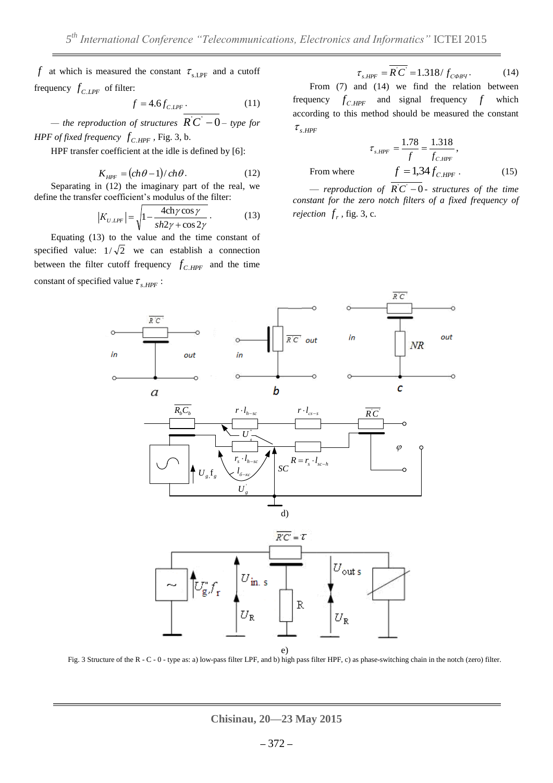f at which is measured the constant  $\tau_{s, \text{LPF}}$  and a cutoff frequency  $f_{C,LPF}$  of filter:

$$
f = 4.6 f_{c.LPF} \tag{11}
$$

 $-$  the reproduction of structures  $R\bar{C}$   $-0$  – type for *HPF of fixed frequency*  $f_{C.HPF}$ , Fig. 3, b.

HPF transfer coefficient at the idle is defined by [6]:

$$
K_{HPF} = (ch\theta - 1)/ch\theta. \tag{12}
$$

Separating in (12) the imaginary part of the real, we define the transfer coefficient's modulus of the filter:

$$
|K_{U.LPF}| = \sqrt{1 - \frac{4ch\gamma \cos\gamma}{sh2\gamma + \cos 2\gamma}}.
$$
 (13)

Equating (13) to the value and the time constant of specified value:  $1/\sqrt{2}$  we can establish a connection between the filter cutoff frequency  $f_{C,HPF}$  and the time constant of specified value  $\tau_{s, HPF}$ :

 $\tau_{s.HPF} = R'C' = 1.318/f_{C\phi BY}$ . (14)

From (7) and (14) we find the relation between frequency  $f_{C.HPF}$  and signal frequency  $f$ which according to this method should be measured the constant  $\tau$ <sub>s.*HPF*</sub>

$$
\tau_{s, HPF} = \frac{1.78}{f} = \frac{1.318}{f_{C, HPF}},
$$
  
From where  $f = 1.34 f_{C, HPF}$ . (15)

 $-$  *reproduction of*  $R'C' - 0$ - *structures of the time constant for the zero notch filters of a fixed frequency of rejection*  $f_r$ , fig. 3, c.



Fig. 3 Structure of the R - C - 0 - type as: a) low-pass filter LPF, and b) high pass filter HPF, c) as phase-switching chain in the notch (zero) filter.

**Chisinau, 20—23 May 2015**